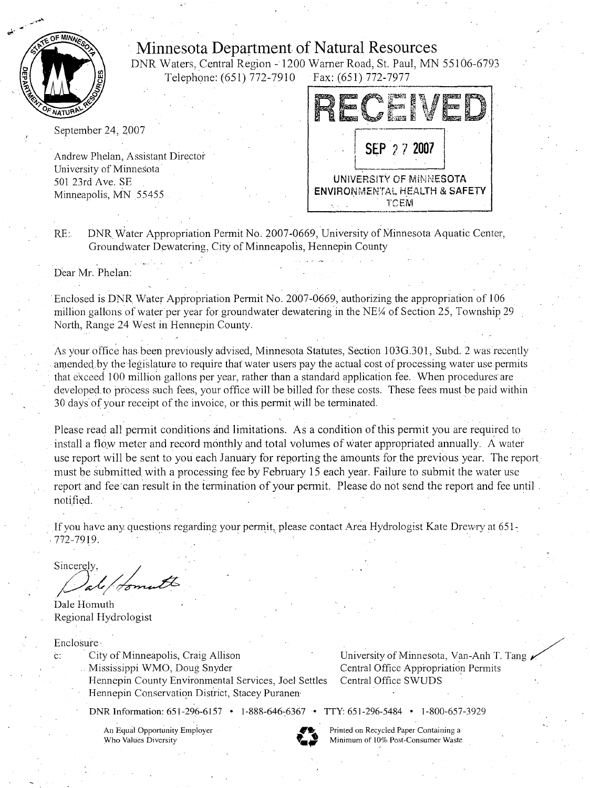

## **Minnesota Department of Natural Resources**

DNR Waters, Central Region -1200 Warner Road, St. Paul, MN 55106-6793 Telephone: (651) 772-7910 Fax: (651) 772-7977 -------.

September 24, 2007

Andrew Phelan, Assistant Director University of Minnesota· 501 23rd Ave. SE Minneapolis, MN 55455



RE: DNR. Water Appropriation Permit No. 2007-0669, University of Minnesota Aquatic Center, Groundwater Dewatering, City of Minneapolis, Hennepin County

Dear Mr. Phelan:

Enclosed is DNR Water Appropriation Permit No. 2007-0669, authorizing the appropriation of I 06 million gallons of water per year for groundwater dewatering in the NE $\frac{1}{4}$  of Section 25, Township 29 North, Range 24 West in Hennepin County.

As your office has been previously advised, Minnesota Statutes, Section 103G 301, Subd. 2 was recently amended by the legislature to require that water users pay the actual cost of processing water use permits that exceed 100 million gallons per year, rather than a standard application fee. When procedures are developed to process such fees, your office will be billed for these costs. These fees must be paid within 30 days of your receipt of the invoice, or this permit will be terminated.

Please read all permit conditions and limitations. As a condition of this permit you are required to install a flow meter and record monthly and total volumes of water appropriated annually. A water use report will be sent to you each January for reporting the amounts for the previous year. The report must be submitted with a processing fee by February 15 each year. Failure to submit the water use report and fee can result in the termination of your permit. Please do not send the report and fee until notified.

If you have any questions regarding your permit, please contact Area Hydrologist Kate Drewry at  $651$ .  $-772-7919$ .

Sincerely

Dale Homuth Regional Hydrologist

Enclosure·

c: City of Minneapolis, Craig Allison

. Mississippi WMO, Doug Snyder

Hennepin County Environmental Services, Joel Settles Hennepin Conservation District, Stacey Puranen-

DNR Information: 651-296-6157 • 1-888-646~6367 • TTY: 651-296-5484 • 1-800-657-3929

University of Minnesota, Van-Anh T. Tang/ Central Office Appropriation Permits Central Office SWUDS

An Equal Opportunity Employer Who Values Diversity

**'9!..** Printed on Recycled Paper Containing a Minimum of 10% Post-Consumer Waste